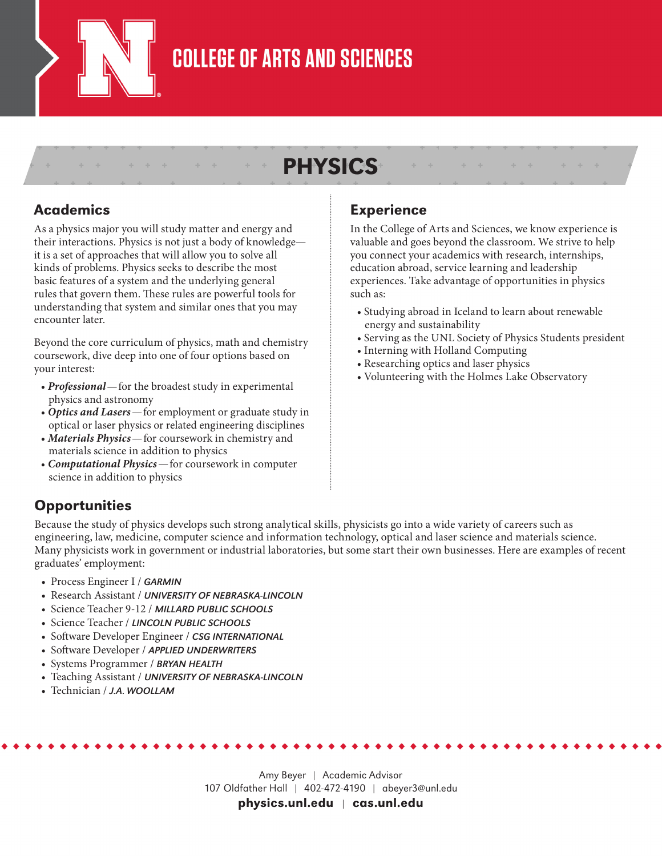

### **COLLEGE OF ARTS AND SCIENCES**

### PHYSICS

#### Academics

As a physics major you will study matter and energy and their interactions. Physics is not just a body of knowledge it is a set of approaches that will allow you to solve all kinds of problems. Physics seeks to describe the most basic features of a system and the underlying general rules that govern them. These rules are powerful tools for understanding that system and similar ones that you may encounter later.

Beyond the core curriculum of physics, math and chemistry coursework, dive deep into one of four options based on your interest:

- *Professional*—for the broadest study in experimental physics and astronomy
- *Optics and Lasers*—for employment or graduate study in optical or laser physics or related engineering disciplines
- *Materials Physics*—for coursework in chemistry and materials science in addition to physics
- *Computational Physics*—for coursework in computer science in addition to physics

### Experience

In the College of Arts and Sciences, we know experience is valuable and goes beyond the classroom. We strive to help you connect your academics with research, internships, education abroad, service learning and leadership experiences. Take advantage of opportunities in physics such as:

- Studying abroad in Iceland to learn about renewable energy and sustainability
- Serving as the UNL Society of Physics Students president
- Interning with Holland Computing
- Researching optics and laser physics
- Volunteering with the Holmes Lake Observatory

#### **Opportunities**

Because the study of physics develops such strong analytical skills, physicists go into a wide variety of careers such as engineering, law, medicine, computer science and information technology, optical and laser science and materials science. Many physicists work in government or industrial laboratories, but some start their own businesses. Here are examples of recent graduates' employment:

- Process Engineer I / *GARMIN*
- Research Assistant / *UNIVERSITY OF NEBRASKA-LINCOLN*
- Science Teacher 9-12 / *MILLARD PUBLIC SCHOOLS*
- Science Teacher / *LINCOLN PUBLIC SCHOOLS*
- Software Developer Engineer / *CSG INTERNATIONAL*
- Software Developer / *APPLIED UNDERWRITERS*
- Systems Programmer / *BRYAN HEALTH*
- Teaching Assistant / *UNIVERSITY OF NEBRASKA-LINCOLN*
- Technician / *J.A. WOOLLAM*